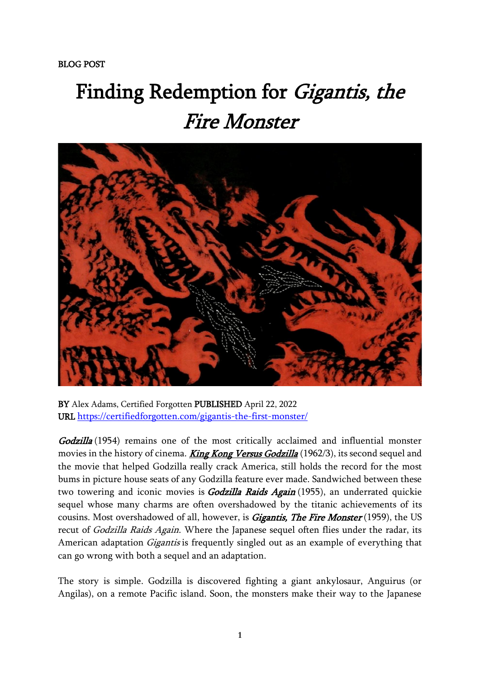## Finding Redemption for *Gigantis, the* Fire Monster



BY Alex Adams, Certified Forgotten PUBLISHED April 22, 2022 URL <https://certifiedforgotten.com/gigantis-the-first-monster/>

Godzilla (1954) remains one of the most critically acclaimed and influential monster movies in the history of cinema. **[King Kong Versus Godzilla](https://wearethemutants.com/2021/03/25/the-greatest-showa-on-earth-1962s-king-kong-vs-godzilla/)** (1962/3), its second sequel and the movie that helped Godzilla really crack America, still holds the record for the most bums in picture house seats of any Godzilla feature ever made. Sandwiched between these two towering and iconic movies is *Godzilla Raids Again* (1955), an underrated quickie sequel whose many charms are often overshadowed by the titanic achievements of its cousins. Most overshadowed of all, however, is *Gigantis, The Fire Monster* (1959), the US recut of Godzilla Raids Again. Where the Japanese sequel often flies under the radar, its American adaptation *Gigantis* is frequently singled out as an example of everything that can go wrong with both a sequel and an adaptation.

The story is simple. Godzilla is discovered fighting a giant ankylosaur, Anguirus (or Angilas), on a remote Pacific island. Soon, the monsters make their way to the Japanese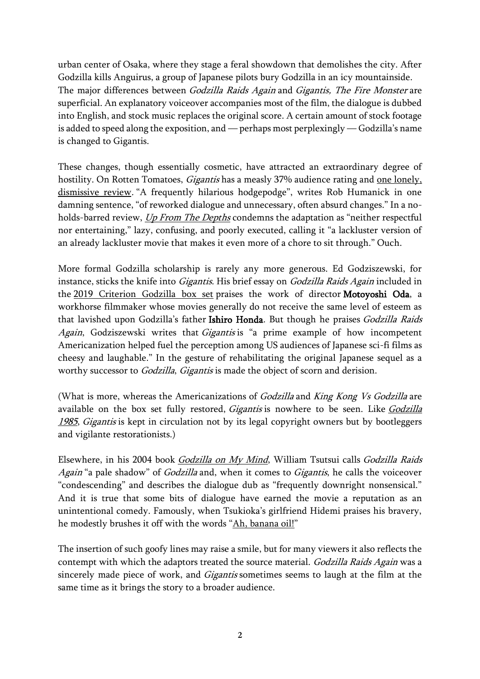urban center of Osaka, where they stage a feral showdown that demolishes the city. After Godzilla kills Anguirus, a group of Japanese pilots bury Godzilla in an icy mountainside. The major differences between Godzilla Raids Again and Gigantis, The Fire Monster are superficial. An explanatory voiceover accompanies most of the film, the dialogue is dubbed into English, and stock music replaces the original score. A certain amount of stock footage is added to speed along the exposition, and — perhaps most perplexingly — Godzilla's name is changed to Gigantis.

These changes, though essentially cosmetic, have attracted an extraordinary degree of hostility. On Rotten Tomatoes, *Gigantis* has a measly 37% audience rating and <u>one lonely</u>, [dismissive review](https://www.rottentomatoes.com/m/gigantis_the_fire_monster). "A frequently hilarious hodgepodge", writes Rob Humanick in one damning sentence, "of reworked dialogue and unnecessary, often absurd changes." In a noholds-barred review, *[Up From The Depths](https://www.youtube.com/watch?v=eDRqggxv918)* condemns the adaptation as "neither respectful nor entertaining," lazy, confusing, and poorly executed, calling it "a lackluster version of an already lackluster movie that makes it even more of a chore to sit through." Ouch.

More formal Godzilla scholarship is rarely any more generous. Ed Godziszewski, for instance, sticks the knife into Gigantis. His brief essay on Godzilla Raids Again included in the [2019 Criterion Godzilla box set](https://www.criterion.com/boxsets/2648-godzilla-the-showa-era-films-1954-1975) praises the work of director Motoyoshi Oda, a workhorse filmmaker whose movies generally do not receive the same level of esteem as that lavished upon Godzilla's father Ishiro Honda. But though he praises Godzilla Raids Again, Godziszewski writes that Gigantis is "a prime example of how incompetent Americanization helped fuel the perception among US audiences of Japanese sci-fi films as cheesy and laughable." In the gesture of rehabilitating the original Japanese sequel as a worthy successor to *Godzilla*, *Gigantis* is made the object of scorn and derision.

(What is more, whereas the Americanizations of *Godzilla* and *King Kong Vs Godzilla* are available on the box set fully restored, *Gigantis* is nowhere to be seen. Like *Godzilla* [1985](https://wearethemutants.com/2022/01/31/doom-detente-dr-pepper-godzilla-1984-and-godzilla-1985/), Gigantis is kept in circulation not by its legal copyright owners but by bootleggers and vigilante restorationists.)

Elsewhere, in his 2004 book [Godzilla on My Mind](https://books.google.co.uk/books/about/Godzilla_on_My_Mind.html?id=oe65CwAAQBAJ&redir_esc=y), William Tsutsui calls Godzilla Raids Again "a pale shadow" of *Godzilla* and, when it comes to *Gigantis*, he calls the voiceover "condescending" and describes the dialogue dub as "frequently downright nonsensical." And it is true that some bits of dialogue have earned the movie a reputation as an unintentional comedy. Famously, when Tsukioka's girlfriend Hidemi praises his bravery, he modestly brushes it off with the words "[Ah, banana oil!](https://www.youtube.com/watch?v=gmVv3plL2No)"

The insertion of such goofy lines may raise a smile, but for many viewers it also reflects the contempt with which the adaptors treated the source material. Godzilla Raids Again was a sincerely made piece of work, and *Gigantis* sometimes seems to laugh at the film at the same time as it brings the story to a broader audience.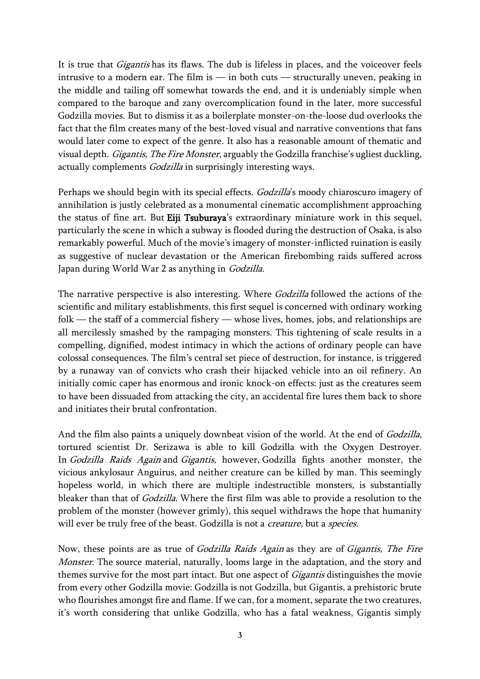It is true that *Gigantis* has its flaws. The dub is lifeless in places, and the voiceover feels intrusive to a modern ear. The film is  $-$  in both cuts  $-$  structurally uneven, peaking in the middle and tailing off somewhat towards the end, and it is undeniably simple when compared to the baroque and zany overcomplication found in the later, more successful Godzilla movies. But to dismiss it as a boilerplate monster-on-the-loose dud overlooks the fact that the film creates many of the best-loved visual and narrative conventions that fans would later come to expect of the genre. It also has a reasonable amount of thematic and visual depth. Gigantis, The Fire Monster, arguably the Godzilla franchise's ugliest duckling, actually complements *Godzilla* in surprisingly interesting ways.

Perhaps we should begin with its special effects. Godzilla's moody chiaroscuro imagery of annihilation is justly celebrated as a monumental cinematic accomplishment approaching the status of fine art. But Eiji Tsuburaya's extraordinary miniature work in this sequel, particularly the scene in which a subway is flooded during the destruction of Osaka, is also remarkably powerful. Much of the movie's imagery of monster-inflicted ruination is easily as suggestive of nuclear devastation or the American firebombing raids suffered across Japan during World War 2 as anything in Godzilla.

The narrative perspective is also interesting. Where *Godzilla* followed the actions of the scientific and military establishments, this first sequel is concerned with ordinary working folk — the staff of a commercial fishery — whose lives, homes, jobs, and relationships are all mercilessly smashed by the rampaging monsters. This tightening of scale results in a compelling, dignified, modest intimacy in which the actions of ordinary people can have colossal consequences. The film's central set piece of destruction, for instance, is triggered by a runaway van of convicts who crash their hijacked vehicle into an oil refinery. An initially comic caper has enormous and ironic knock-on effects: just as the creatures seem to have been dissuaded from attacking the city, an accidental fire lures them back to shore and initiates their brutal confrontation.

And the film also paints a uniquely downbeat vision of the world. At the end of *Godzilla*, tortured scientist Dr. Serizawa is able to kill Godzilla with the Oxygen Destroyer. In Godzilla Raids Again and Gigantis, however, Godzilla fights another monster, the vicious ankylosaur Anguirus, and neither creature can be killed by man. This seemingly hopeless world, in which there are multiple indestructible monsters, is substantially bleaker than that of Godzilla. Where the first film was able to provide a resolution to the problem of the monster (however grimly), this sequel withdraws the hope that humanity will ever be truly free of the beast. Godzilla is not a *creature*, but a *species*.

Now, these points are as true of Godzilla Raids Again as they are of Gigantis, The Fire Monster. The source material, naturally, looms large in the adaptation, and the story and themes survive for the most part intact. But one aspect of Gigantis distinguishes the movie from every other Godzilla movie: Godzilla is not Godzilla, but Gigantis, a prehistoric brute who flourishes amongst fire and flame. If we can, for a moment, separate the two creatures, it's worth considering that unlike Godzilla, who has a fatal weakness, Gigantis simply